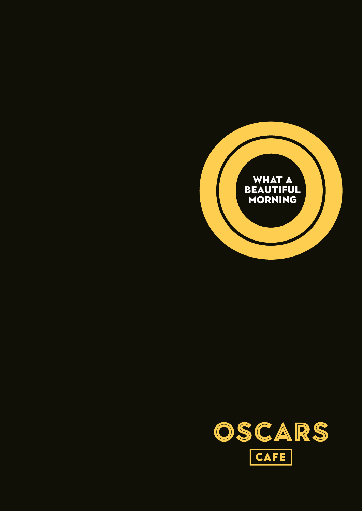